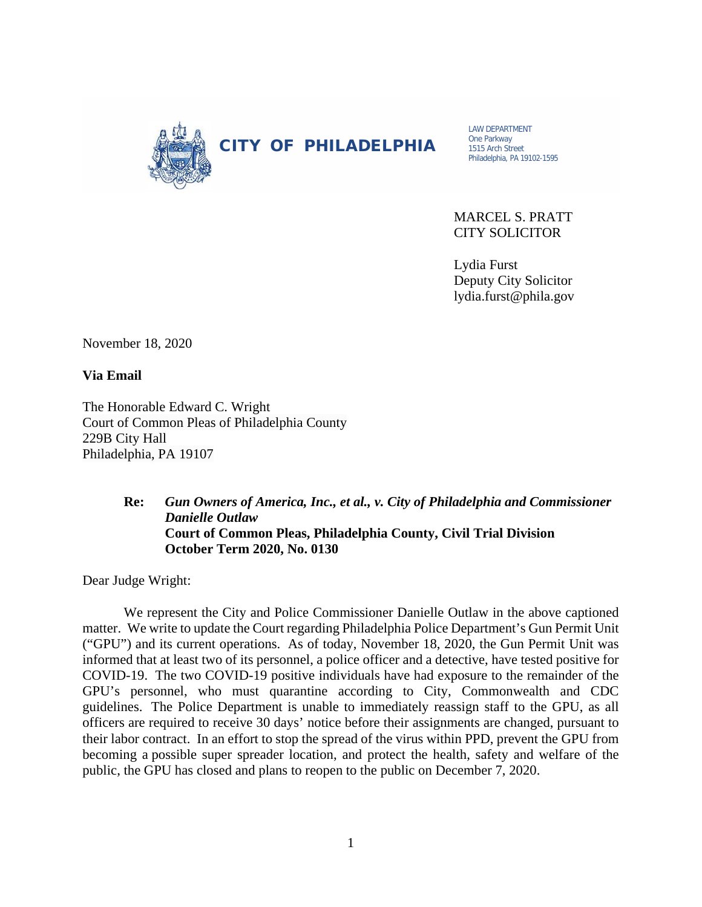

CITY OF PHILADELPHIA

LAW DEPARTMENT One Parkway 1515 Arch Street Philadelphia, PA 19102-1595

MARCEL S. PRATT CITY SOLICITOR

 Lydia Furst Deputy City Solicitor lydia.furst@phila.gov

November 18, 2020

**Via Email** 

The Honorable Edward C. Wright Court of Common Pleas of Philadelphia County 229B City Hall Philadelphia, PA 19107

## **Re:** *Gun Owners of America, Inc., et al., v. City of Philadelphia and Commissioner Danielle Outlaw* **Court of Common Pleas, Philadelphia County, Civil Trial Division October Term 2020, No. 0130**

Dear Judge Wright:

We represent the City and Police Commissioner Danielle Outlaw in the above captioned matter. We write to update the Court regarding Philadelphia Police Department's Gun Permit Unit ("GPU") and its current operations. As of today, November 18, 2020, the Gun Permit Unit was informed that at least two of its personnel, a police officer and a detective, have tested positive for COVID-19. The two COVID-19 positive individuals have had exposure to the remainder of the GPU's personnel, who must quarantine according to City, Commonwealth and CDC guidelines. The Police Department is unable to immediately reassign staff to the GPU, as all officers are required to receive 30 days' notice before their assignments are changed, pursuant to their labor contract. In an effort to stop the spread of the virus within PPD, prevent the GPU from becoming a possible super spreader location, and protect the health, safety and welfare of the public, the GPU has closed and plans to reopen to the public on December 7, 2020.